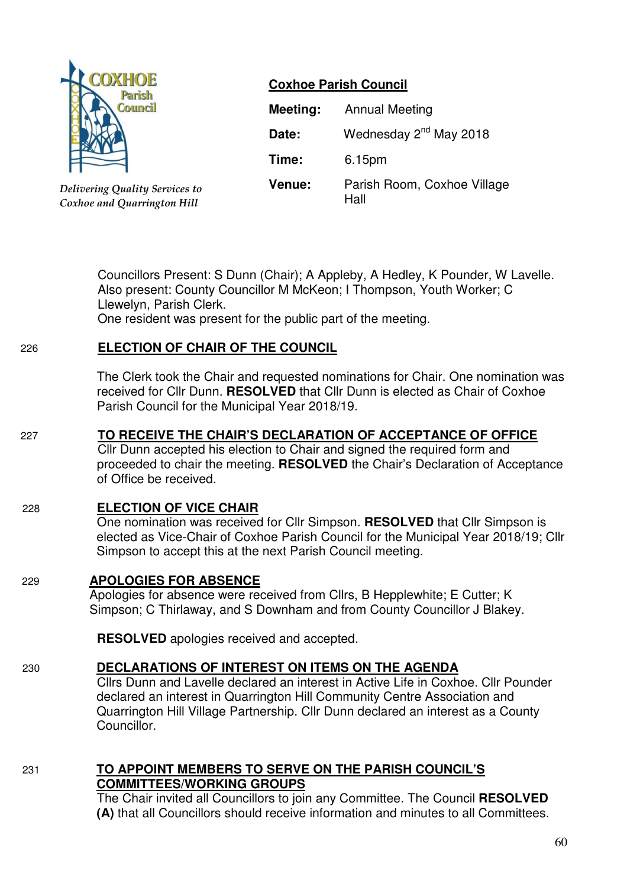

*Delivering Quality Services to Coxhoe and Quarrington Hill*

# **Coxhoe Parish Council**

| Meeting: | <b>Annual Meeting</b>               |
|----------|-------------------------------------|
| Date:    | Wednesday 2 <sup>nd</sup> May 2018  |
| Time:    | 6.15pm                              |
| Venue:   | Parish Room, Coxhoe Village<br>Hall |

Councillors Present: S Dunn (Chair); A Appleby, A Hedley, K Pounder, W Lavelle. Also present: County Councillor M McKeon; I Thompson, Youth Worker; C Llewelyn, Parish Clerk.

One resident was present for the public part of the meeting.

### 226 **ELECTION OF CHAIR OF THE COUNCIL**

The Clerk took the Chair and requested nominations for Chair. One nomination was received for Cllr Dunn. **RESOLVED** that Cllr Dunn is elected as Chair of Coxhoe Parish Council for the Municipal Year 2018/19.

# 227 **TO RECEIVE THE CHAIR'S DECLARATION OF ACCEPTANCE OF OFFICE**

 Cllr Dunn accepted his election to Chair and signed the required form and proceeded to chair the meeting. **RESOLVED** the Chair's Declaration of Acceptance of Office be received.

# 228 **ELECTION OF VICE CHAIR**

 One nomination was received for Cllr Simpson. **RESOLVED** that Cllr Simpson is elected as Vice-Chair of Coxhoe Parish Council for the Municipal Year 2018/19; Cllr Simpson to accept this at the next Parish Council meeting.

### 229 **APOLOGIES FOR ABSENCE**

Apologies for absence were received from Cllrs, B Hepplewhite; E Cutter; K Simpson; C Thirlaway, and S Downham and from County Councillor J Blakey.

**RESOLVED** apologies received and accepted.

### 230 **DECLARATIONS OF INTEREST ON ITEMS ON THE AGENDA**

 Cllrs Dunn and Lavelle declared an interest in Active Life in Coxhoe. Cllr Pounder declared an interest in Quarrington Hill Community Centre Association and Quarrington Hill Village Partnership. Cllr Dunn declared an interest as a County Councillor.

### 231 **TO APPOINT MEMBERS TO SERVE ON THE PARISH COUNCIL'S COMMITTEES/WORKING GROUPS**

 The Chair invited all Councillors to join any Committee. The Council **RESOLVED (A)** that all Councillors should receive information and minutes to all Committees.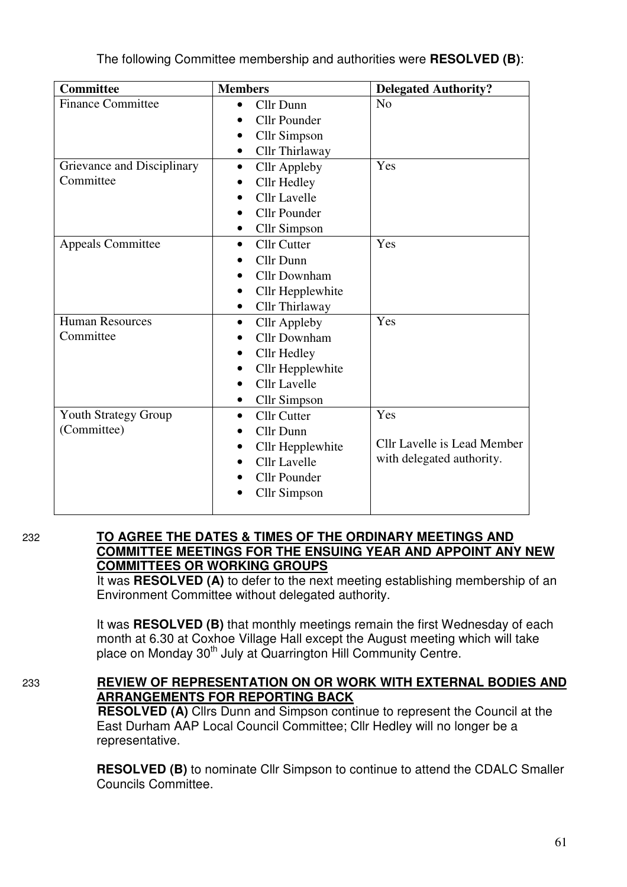| <b>Committee</b>            | <b>Members</b>                   | <b>Delegated Authority?</b> |
|-----------------------------|----------------------------------|-----------------------------|
| <b>Finance Committee</b>    | Cllr Dunn<br>$\bullet$           | N <sub>0</sub>              |
|                             | <b>Cllr Pounder</b>              |                             |
|                             | <b>Cllr Simpson</b>              |                             |
|                             | Cllr Thirlaway<br>$\bullet$      |                             |
| Grievance and Disciplinary  | <b>Cllr</b> Appleby<br>$\bullet$ | Yes                         |
| Committee                   | Cllr Hedley                      |                             |
|                             | <b>Cllr</b> Lavelle              |                             |
|                             | <b>Cllr Pounder</b>              |                             |
|                             | <b>Cllr Simpson</b>              |                             |
| <b>Appeals Committee</b>    | <b>Cllr Cutter</b><br>$\bullet$  | Yes                         |
|                             | Cllr Dunn                        |                             |
|                             | <b>Cllr Downham</b>              |                             |
|                             | Cllr Hepplewhite<br>٠            |                             |
|                             | Cllr Thirlaway                   |                             |
| <b>Human Resources</b>      | <b>Cllr Appleby</b><br>$\bullet$ | Yes                         |
| Committee                   | <b>Cllr Downham</b>              |                             |
|                             | Cllr Hedley                      |                             |
|                             | Cllr Hepplewhite                 |                             |
|                             | <b>Cllr</b> Lavelle              |                             |
|                             | <b>Cllr Simpson</b>              |                             |
| <b>Youth Strategy Group</b> | <b>Cllr Cutter</b><br>$\bullet$  | Yes                         |
| (Committee)                 | Cllr Dunn                        |                             |
|                             | Cllr Hepplewhite                 | Cllr Lavelle is Lead Member |
|                             | <b>Cllr</b> Lavelle              | with delegated authority.   |
|                             | <b>Cllr</b> Pounder              |                             |
|                             | <b>Cllr Simpson</b>              |                             |
|                             |                                  |                             |

#### 232 **TO AGREE THE DATES & TIMES OF THE ORDINARY MEETINGS AND COMMITTEE MEETINGS FOR THE ENSUING YEAR AND APPOINT ANY NEW COMMITTEES OR WORKING GROUPS**

 It was **RESOLVED (A)** to defer to the next meeting establishing membership of an Environment Committee without delegated authority.

It was **RESOLVED (B)** that monthly meetings remain the first Wednesday of each month at 6.30 at Coxhoe Village Hall except the August meeting which will take place on Monday 30<sup>th</sup> July at Quarrington Hill Community Centre.

# 233 **REVIEW OF REPRESENTATION ON OR WORK WITH EXTERNAL BODIES AND ARRANGEMENTS FOR REPORTING BACK**

 **RESOLVED (A)** Cllrs Dunn and Simpson continue to represent the Council at the East Durham AAP Local Council Committee; Cllr Hedley will no longer be a representative.

**RESOLVED (B)** to nominate Cllr Simpson to continue to attend the CDALC Smaller Councils Committee.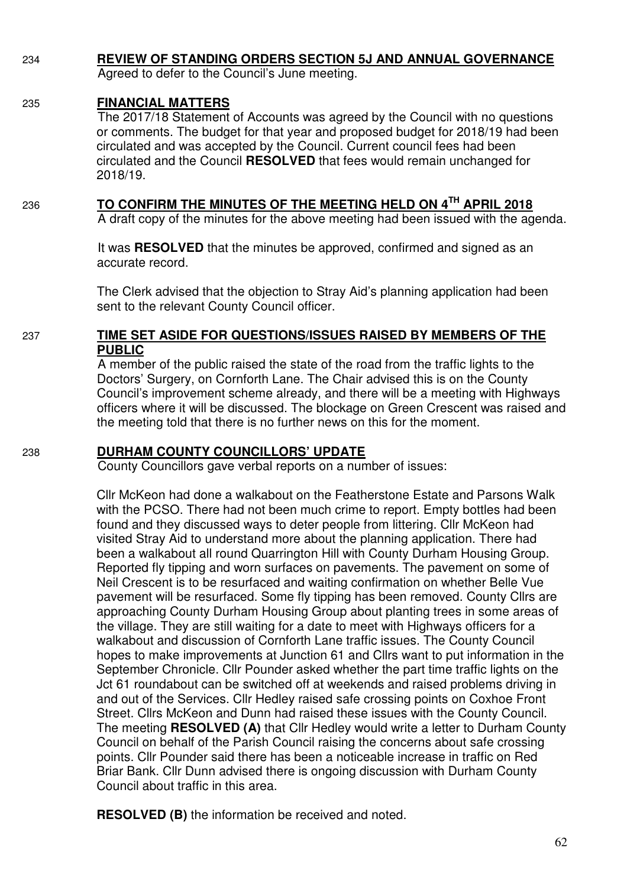### 234 **REVIEW OF STANDING ORDERS SECTION 5J AND ANNUAL GOVERNANCE**

Agreed to defer to the Council's June meeting.

### 235 **FINANCIAL MATTERS**

 The 2017/18 Statement of Accounts was agreed by the Council with no questions or comments. The budget for that year and proposed budget for 2018/19 had been circulated and was accepted by the Council. Current council fees had been circulated and the Council **RESOLVED** that fees would remain unchanged for 2018/19.

### <sup>236</sup> **TO CONFIRM THE MINUTES OF THE MEETING HELD ON 4TH APRIL 2018**

A draft copy of the minutes for the above meeting had been issued with the agenda.

 It was **RESOLVED** that the minutes be approved, confirmed and signed as an accurate record.

The Clerk advised that the objection to Stray Aid's planning application had been sent to the relevant County Council officer.

#### 237 **TIME SET ASIDE FOR QUESTIONS/ISSUES RAISED BY MEMBERS OF THE PUBLIC**

A member of the public raised the state of the road from the traffic lights to the Doctors' Surgery, on Cornforth Lane. The Chair advised this is on the County Council's improvement scheme already, and there will be a meeting with Highways officers where it will be discussed. The blockage on Green Crescent was raised and the meeting told that there is no further news on this for the moment.

### 238 **DURHAM COUNTY COUNCILLORS' UPDATE**

County Councillors gave verbal reports on a number of issues:

Cllr McKeon had done a walkabout on the Featherstone Estate and Parsons Walk with the PCSO. There had not been much crime to report. Empty bottles had been found and they discussed ways to deter people from littering. Cllr McKeon had visited Stray Aid to understand more about the planning application. There had been a walkabout all round Quarrington Hill with County Durham Housing Group. Reported fly tipping and worn surfaces on pavements. The pavement on some of Neil Crescent is to be resurfaced and waiting confirmation on whether Belle Vue pavement will be resurfaced. Some fly tipping has been removed. County Cllrs are approaching County Durham Housing Group about planting trees in some areas of the village. They are still waiting for a date to meet with Highways officers for a walkabout and discussion of Cornforth Lane traffic issues. The County Council hopes to make improvements at Junction 61 and Cllrs want to put information in the September Chronicle. Cllr Pounder asked whether the part time traffic lights on the Jct 61 roundabout can be switched off at weekends and raised problems driving in and out of the Services. Cllr Hedley raised safe crossing points on Coxhoe Front Street. Cllrs McKeon and Dunn had raised these issues with the County Council. The meeting **RESOLVED (A)** that Cllr Hedley would write a letter to Durham County Council on behalf of the Parish Council raising the concerns about safe crossing points. Cllr Pounder said there has been a noticeable increase in traffic on Red Briar Bank. Cllr Dunn advised there is ongoing discussion with Durham County Council about traffic in this area.

**RESOLVED (B)** the information be received and noted.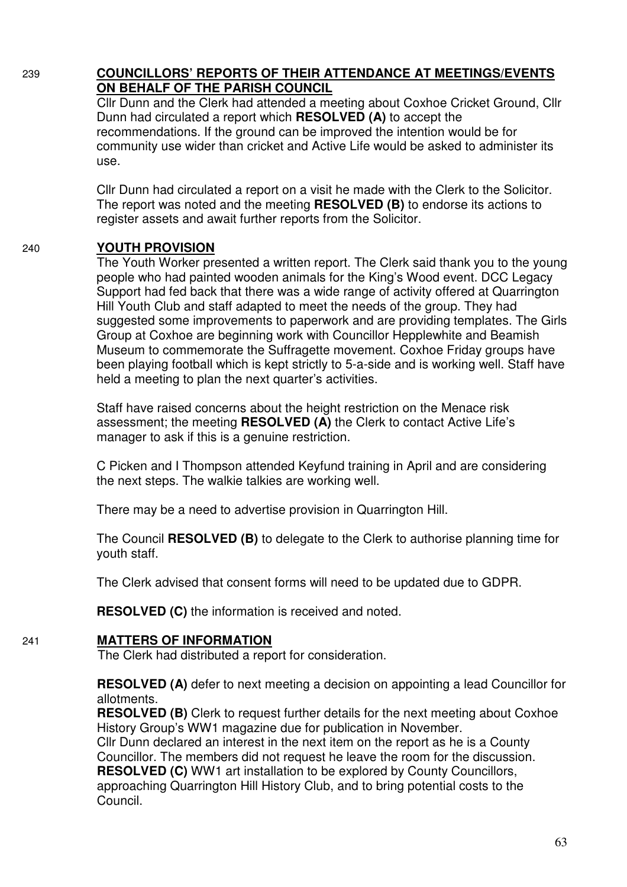### 239 **COUNCILLORS' REPORTS OF THEIR ATTENDANCE AT MEETINGS/EVENTS ON BEHALF OF THE PARISH COUNCIL**

 Cllr Dunn and the Clerk had attended a meeting about Coxhoe Cricket Ground, Cllr Dunn had circulated a report which **RESOLVED (A)** to accept the recommendations. If the ground can be improved the intention would be for community use wider than cricket and Active Life would be asked to administer its use.

Cllr Dunn had circulated a report on a visit he made with the Clerk to the Solicitor. The report was noted and the meeting **RESOLVED (B)** to endorse its actions to register assets and await further reports from the Solicitor.

### 240 **YOUTH PROVISION**

 The Youth Worker presented a written report. The Clerk said thank you to the young people who had painted wooden animals for the King's Wood event. DCC Legacy Support had fed back that there was a wide range of activity offered at Quarrington Hill Youth Club and staff adapted to meet the needs of the group. They had suggested some improvements to paperwork and are providing templates. The Girls Group at Coxhoe are beginning work with Councillor Hepplewhite and Beamish Museum to commemorate the Suffragette movement. Coxhoe Friday groups have been playing football which is kept strictly to 5-a-side and is working well. Staff have held a meeting to plan the next quarter's activities.

Staff have raised concerns about the height restriction on the Menace risk assessment; the meeting **RESOLVED (A)** the Clerk to contact Active Life's manager to ask if this is a genuine restriction.

C Picken and I Thompson attended Keyfund training in April and are considering the next steps. The walkie talkies are working well.

There may be a need to advertise provision in Quarrington Hill.

The Council **RESOLVED (B)** to delegate to the Clerk to authorise planning time for youth staff.

The Clerk advised that consent forms will need to be updated due to GDPR.

**RESOLVED (C)** the information is received and noted.

#### 241 **MATTERS OF INFORMATION**

The Clerk had distributed a report for consideration.

**RESOLVED (A)** defer to next meeting a decision on appointing a lead Councillor for allotments.

**RESOLVED (B)** Clerk to request further details for the next meeting about Coxhoe History Group's WW1 magazine due for publication in November.

Cllr Dunn declared an interest in the next item on the report as he is a County Councillor. The members did not request he leave the room for the discussion. **RESOLVED (C)** WW1 art installation to be explored by County Councillors, approaching Quarrington Hill History Club, and to bring potential costs to the Council.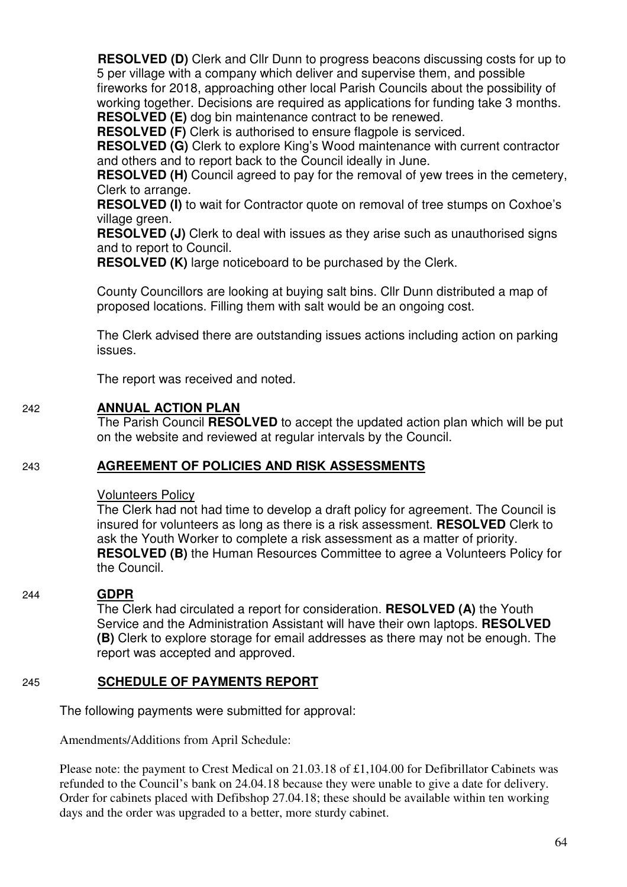**RESOLVED (D)** Clerk and Cllr Dunn to progress beacons discussing costs for up to 5 per village with a company which deliver and supervise them, and possible fireworks for 2018, approaching other local Parish Councils about the possibility of working together. Decisions are required as applications for funding take 3 months. **RESOLVED (E)** dog bin maintenance contract to be renewed.

**RESOLVED (F)** Clerk is authorised to ensure flagpole is serviced.

**RESOLVED (G)** Clerk to explore King's Wood maintenance with current contractor and others and to report back to the Council ideally in June.

**RESOLVED (H)** Council agreed to pay for the removal of yew trees in the cemetery, Clerk to arrange.

**RESOLVED (I)** to wait for Contractor quote on removal of tree stumps on Coxhoe's village green.

**RESOLVED (J)** Clerk to deal with issues as they arise such as unauthorised signs and to report to Council.

**RESOLVED (K)** large noticeboard to be purchased by the Clerk.

County Councillors are looking at buying salt bins. Cllr Dunn distributed a map of proposed locations. Filling them with salt would be an ongoing cost.

The Clerk advised there are outstanding issues actions including action on parking issues.

The report was received and noted.

### 242 **ANNUAL ACTION PLAN**

 The Parish Council **RESOLVED** to accept the updated action plan which will be put on the website and reviewed at regular intervals by the Council.

### 243 **AGREEMENT OF POLICIES AND RISK ASSESSMENTS**

#### Volunteers Policy

 The Clerk had not had time to develop a draft policy for agreement. The Council is insured for volunteers as long as there is a risk assessment. **RESOLVED** Clerk to ask the Youth Worker to complete a risk assessment as a matter of priority. **RESOLVED (B)** the Human Resources Committee to agree a Volunteers Policy for the Council.

#### 244 **GDPR**

 The Clerk had circulated a report for consideration. **RESOLVED (A)** the Youth Service and the Administration Assistant will have their own laptops. **RESOLVED (B)** Clerk to explore storage for email addresses as there may not be enough. The report was accepted and approved.

#### 245 **SCHEDULE OF PAYMENTS REPORT**

The following payments were submitted for approval:

Amendments/Additions from April Schedule:

Please note: the payment to Crest Medical on 21.03.18 of £1,104.00 for Defibrillator Cabinets was refunded to the Council's bank on 24.04.18 because they were unable to give a date for delivery. Order for cabinets placed with Defibshop 27.04.18; these should be available within ten working days and the order was upgraded to a better, more sturdy cabinet.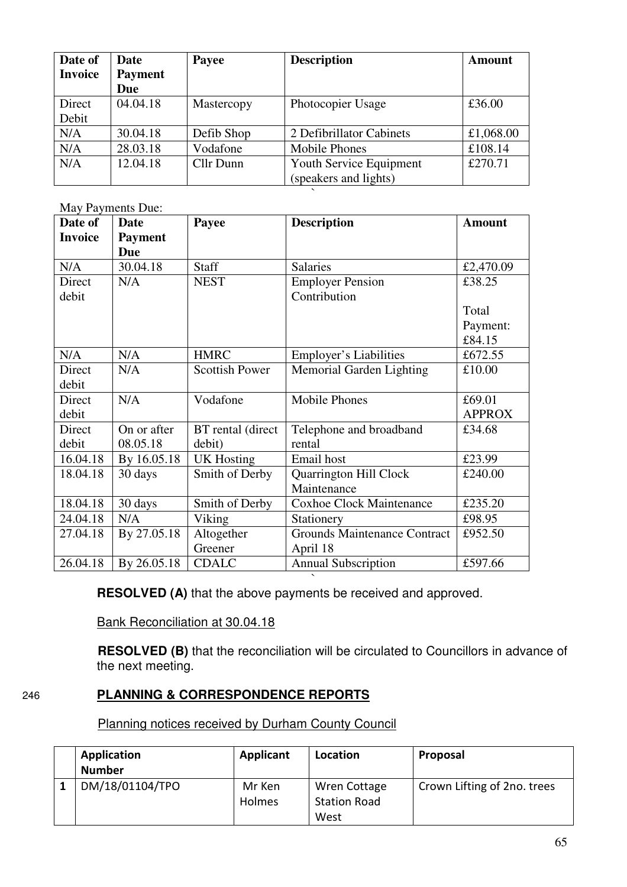| Date of<br><b>Invoice</b> | Date<br><b>Payment</b><br>Due | Payee      | <b>Description</b>                               | Amount    |
|---------------------------|-------------------------------|------------|--------------------------------------------------|-----------|
| Direct<br>Debit           | 04.04.18                      | Mastercopy | Photocopier Usage                                | £36.00    |
| N/A                       | 30.04.18                      | Defib Shop | 2 Defibrillator Cabinets                         | £1,068.00 |
| N/A                       | 28.03.18                      | Vodafone   | <b>Mobile Phones</b>                             | £108.14   |
| N/A                       | 12.04.18                      | Cllr Dunn  | Youth Service Equipment<br>(speakers and lights) | £270.71   |

 $\ddot{\phantom{0}}$ 

May Payments Due:

| Date of        | Date           | Payee                 | <b>Description</b>                  | <b>Amount</b> |
|----------------|----------------|-----------------------|-------------------------------------|---------------|
| <b>Invoice</b> | <b>Payment</b> |                       |                                     |               |
|                | <b>Due</b>     |                       |                                     |               |
| N/A            | 30.04.18       | <b>Staff</b>          | <b>Salaries</b>                     | £2,470.09     |
| Direct         | N/A            | <b>NEST</b>           | <b>Employer Pension</b>             | £38.25        |
| debit          |                |                       | Contribution                        |               |
|                |                |                       |                                     | Total         |
|                |                |                       |                                     | Payment:      |
|                |                |                       |                                     | £84.15        |
| N/A            | N/A            | <b>HMRC</b>           | Employer's Liabilities              | £672.55       |
| Direct         | N/A            | <b>Scottish Power</b> | Memorial Garden Lighting            | £10.00        |
| debit          |                |                       |                                     |               |
| Direct         | N/A            | Vodafone              | <b>Mobile Phones</b>                | £69.01        |
| debit          |                |                       |                                     | <b>APPROX</b> |
| Direct         | On or after    | BT rental (direct     | Telephone and broadband             | £34.68        |
| debit          | 08.05.18       | debit)                | rental                              |               |
| 16.04.18       | By 16.05.18    | <b>UK Hosting</b>     | Email host                          | £23.99        |
| 18.04.18       | 30 days        | Smith of Derby        | <b>Quarrington Hill Clock</b>       | £240.00       |
|                |                |                       | Maintenance                         |               |
| 18.04.18       | 30 days        | Smith of Derby        | <b>Coxhoe Clock Maintenance</b>     | £235.20       |
| 24.04.18       | N/A            | Viking                | Stationery                          | £98.95        |
| 27.04.18       | By 27.05.18    | Altogether            | <b>Grounds Maintenance Contract</b> | £952.50       |
|                |                | Greener               | April 18                            |               |
| 26.04.18       | By 26.05.18    | <b>CDALC</b>          | <b>Annual Subscription</b>          | £597.66       |

` **RESOLVED (A)** that the above payments be received and approved.

Bank Reconciliation at 30.04.18

**RESOLVED (B)** that the reconciliation will be circulated to Councillors in advance of the next meeting.

### 246 **PLANNING & CORRESPONDENCE REPORTS**

Planning notices received by Durham County Council

| Application<br><b>Number</b> | Applicant     | Location            | Proposal                    |
|------------------------------|---------------|---------------------|-----------------------------|
| DM/18/01104/TPO              | Mr Ken        | Wren Cottage        | Crown Lifting of 2no. trees |
|                              | <b>Holmes</b> | <b>Station Road</b> |                             |
|                              |               | West                |                             |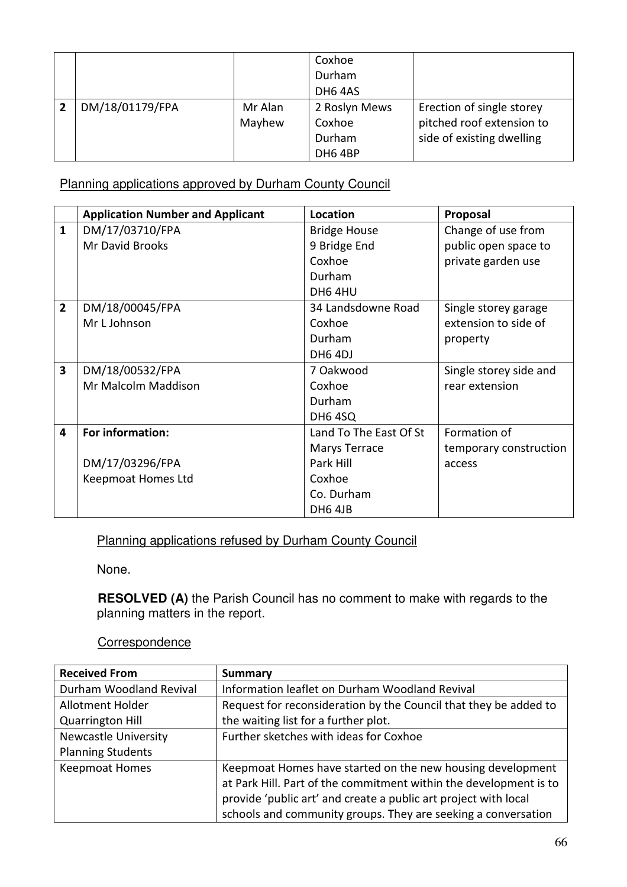|                 |         | Coxhoe              |                           |
|-----------------|---------|---------------------|---------------------------|
|                 |         | Durham              |                           |
|                 |         | DH <sub>6</sub> 4AS |                           |
| DM/18/01179/FPA | Mr Alan | 2 Roslyn Mews       | Erection of single storey |
|                 | Mayhew  | Coxhoe              | pitched roof extension to |
|                 |         | Durham              | side of existing dwelling |
|                 |         | DH6 4BP             |                           |

Planning applications approved by Durham County Council

|                | <b>Application Number and Applicant</b> | Location               | Proposal               |
|----------------|-----------------------------------------|------------------------|------------------------|
| $\mathbf{1}$   | DM/17/03710/FPA                         | <b>Bridge House</b>    | Change of use from     |
|                | Mr David Brooks                         | 9 Bridge End           | public open space to   |
|                |                                         | Coxhoe                 | private garden use     |
|                |                                         | Durham                 |                        |
|                |                                         | DH64HU                 |                        |
| $\overline{2}$ | DM/18/00045/FPA                         | 34 Landsdowne Road     | Single storey garage   |
|                | Mr L Johnson                            | Coxhoe                 | extension to side of   |
|                |                                         | Durham                 | property               |
|                |                                         | DH6 4DJ                |                        |
| 3              | DM/18/00532/FPA                         | 7 Oakwood              | Single storey side and |
|                | Mr Malcolm Maddison                     | Coxhoe                 | rear extension         |
|                |                                         | Durham                 |                        |
|                |                                         | <b>DH6 4SQ</b>         |                        |
| 4              | For information:                        | Land To The East Of St | Formation of           |
|                |                                         | Marys Terrace          | temporary construction |
|                | DM/17/03296/FPA                         | Park Hill              | access                 |
|                | Keepmoat Homes Ltd                      | Coxhoe                 |                        |
|                |                                         | Co. Durham             |                        |
|                |                                         | <b>DH6 4JB</b>         |                        |

Planning applications refused by Durham County Council

None.

 **RESOLVED (A)** the Parish Council has no comment to make with regards to the planning matters in the report.

**Correspondence** 

| <b>Received From</b>        | <b>Summary</b>                                                    |
|-----------------------------|-------------------------------------------------------------------|
| Durham Woodland Revival     | Information leaflet on Durham Woodland Revival                    |
| Allotment Holder            | Request for reconsideration by the Council that they be added to  |
| <b>Quarrington Hill</b>     | the waiting list for a further plot.                              |
| <b>Newcastle University</b> | Further sketches with ideas for Coxhoe                            |
| <b>Planning Students</b>    |                                                                   |
| <b>Keepmoat Homes</b>       | Keepmoat Homes have started on the new housing development        |
|                             | at Park Hill. Part of the commitment within the development is to |
|                             | provide 'public art' and create a public art project with local   |
|                             | schools and community groups. They are seeking a conversation     |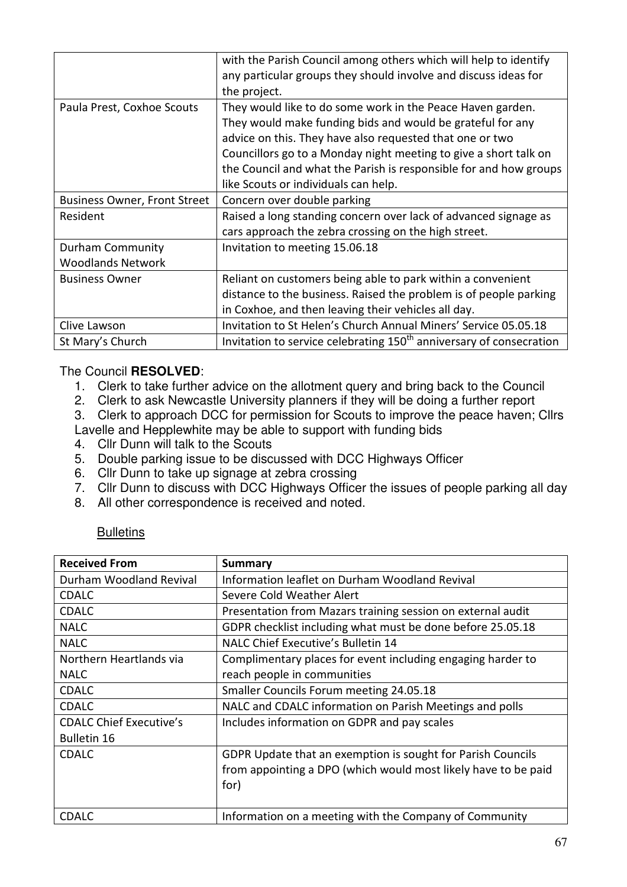|                                              | with the Parish Council among others which will help to identify<br>any particular groups they should involve and discuss ideas for<br>the project.                                                                                                                                                                                                                   |
|----------------------------------------------|-----------------------------------------------------------------------------------------------------------------------------------------------------------------------------------------------------------------------------------------------------------------------------------------------------------------------------------------------------------------------|
| Paula Prest, Coxhoe Scouts                   | They would like to do some work in the Peace Haven garden.<br>They would make funding bids and would be grateful for any<br>advice on this. They have also requested that one or two<br>Councillors go to a Monday night meeting to give a short talk on<br>the Council and what the Parish is responsible for and how groups<br>like Scouts or individuals can help. |
| <b>Business Owner, Front Street</b>          | Concern over double parking                                                                                                                                                                                                                                                                                                                                           |
| Resident                                     | Raised a long standing concern over lack of advanced signage as<br>cars approach the zebra crossing on the high street.                                                                                                                                                                                                                                               |
| Durham Community<br><b>Woodlands Network</b> | Invitation to meeting 15.06.18                                                                                                                                                                                                                                                                                                                                        |
| <b>Business Owner</b>                        | Reliant on customers being able to park within a convenient<br>distance to the business. Raised the problem is of people parking<br>in Coxhoe, and then leaving their vehicles all day.                                                                                                                                                                               |
| Clive Lawson                                 | Invitation to St Helen's Church Annual Miners' Service 05.05.18                                                                                                                                                                                                                                                                                                       |
| St Mary's Church                             | Invitation to service celebrating 150 <sup>th</sup> anniversary of consecration                                                                                                                                                                                                                                                                                       |

### The Council **RESOLVED**:

- 1. Clerk to take further advice on the allotment query and bring back to the Council
- 2. Clerk to ask Newcastle University planners if they will be doing a further report
- 3. Clerk to approach DCC for permission for Scouts to improve the peace haven; Cllrs Lavelle and Hepplewhite may be able to support with funding bids
- 4. Cllr Dunn will talk to the Scouts
- 5. Double parking issue to be discussed with DCC Highways Officer
- 6. Cllr Dunn to take up signage at zebra crossing
- 7. Cllr Dunn to discuss with DCC Highways Officer the issues of people parking all day
- 8. All other correspondence is received and noted.

#### **Bulletins**

| <b>Received From</b>           | <b>Summary</b>                                                 |
|--------------------------------|----------------------------------------------------------------|
| Durham Woodland Revival        | Information leaflet on Durham Woodland Revival                 |
| <b>CDALC</b>                   | Severe Cold Weather Alert                                      |
| <b>CDALC</b>                   | Presentation from Mazars training session on external audit    |
| <b>NALC</b>                    | GDPR checklist including what must be done before 25.05.18     |
| <b>NALC</b>                    | NALC Chief Executive's Bulletin 14                             |
| Northern Heartlands via        | Complimentary places for event including engaging harder to    |
| <b>NALC</b>                    | reach people in communities                                    |
| <b>CDALC</b>                   | Smaller Councils Forum meeting 24.05.18                        |
| <b>CDALC</b>                   | NALC and CDALC information on Parish Meetings and polls        |
| <b>CDALC Chief Executive's</b> | Includes information on GDPR and pay scales                    |
| <b>Bulletin 16</b>             |                                                                |
| <b>CDALC</b>                   | GDPR Update that an exemption is sought for Parish Councils    |
|                                | from appointing a DPO (which would most likely have to be paid |
|                                | for)                                                           |
|                                |                                                                |
| <b>CDALC</b>                   | Information on a meeting with the Company of Community         |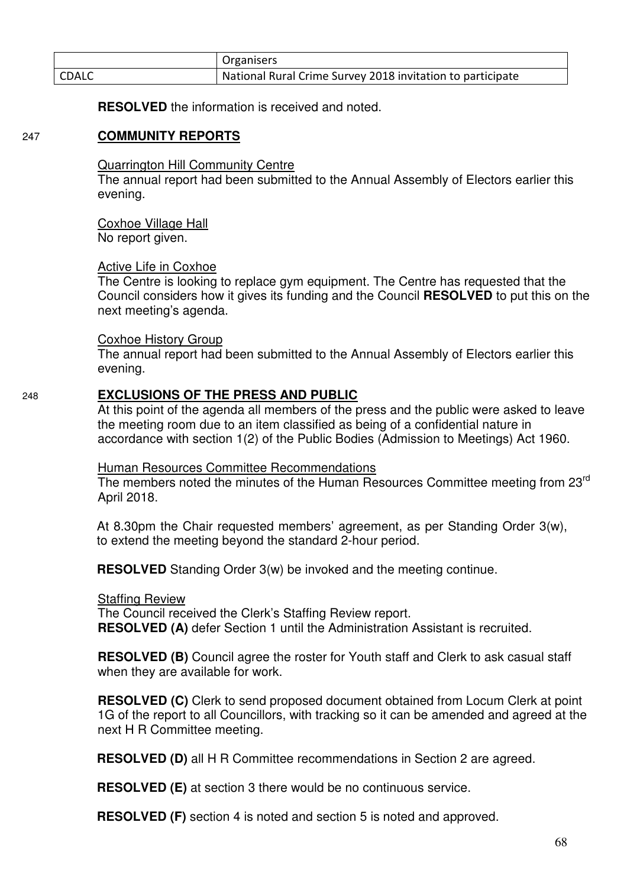|              | Organisers                                                 |
|--------------|------------------------------------------------------------|
| <b>CDALC</b> | National Rural Crime Survey 2018 invitation to participate |

**RESOLVED** the information is received and noted.

#### 247 **COMMUNITY REPORTS**

Quarrington Hill Community Centre

 The annual report had been submitted to the Annual Assembly of Electors earlier this evening.

Coxhoe Village Hall

No report given.

#### Active Life in Coxhoe

 The Centre is looking to replace gym equipment. The Centre has requested that the Council considers how it gives its funding and the Council **RESOLVED** to put this on the next meeting's agenda.

#### Coxhoe History Group

The annual report had been submitted to the Annual Assembly of Electors earlier this evening.

#### 248 **EXCLUSIONS OF THE PRESS AND PUBLIC**

At this point of the agenda all members of the press and the public were asked to leave the meeting room due to an item classified as being of a confidential nature in accordance with section 1(2) of the Public Bodies (Admission to Meetings) Act 1960.

#### Human Resources Committee Recommendations

The members noted the minutes of the Human Resources Committee meeting from 23<sup>rd</sup> April 2018.

At 8.30pm the Chair requested members' agreement, as per Standing Order 3(w), to extend the meeting beyond the standard 2-hour period.

**RESOLVED** Standing Order 3(w) be invoked and the meeting continue.

#### Staffing Review

The Council received the Clerk's Staffing Review report. **RESOLVED (A)** defer Section 1 until the Administration Assistant is recruited.

**RESOLVED (B)** Council agree the roster for Youth staff and Clerk to ask casual staff when they are available for work.

**RESOLVED (C)** Clerk to send proposed document obtained from Locum Clerk at point 1G of the report to all Councillors, with tracking so it can be amended and agreed at the next H R Committee meeting.

**RESOLVED (D)** all H R Committee recommendations in Section 2 are agreed.

**RESOLVED (E)** at section 3 there would be no continuous service.

**RESOLVED (F)** section 4 is noted and section 5 is noted and approved.